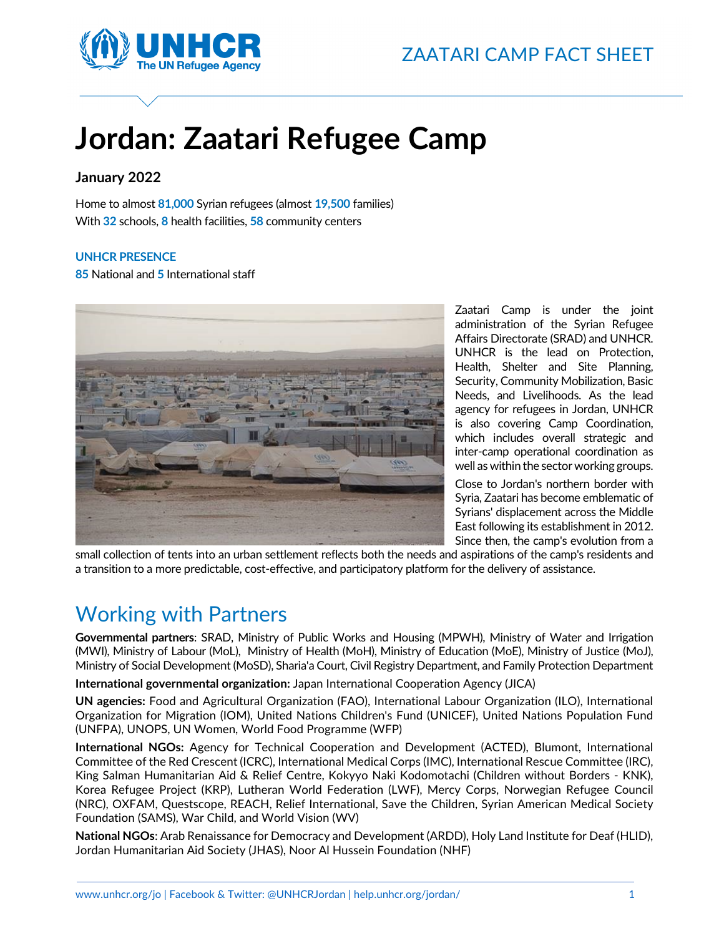

# **Jordan: Zaatari Refugee Camp**

# **January 2022**

Home to almost **81,000** Syrian refugees (almost **19,500** families) With **32** schools, **8** health facilities, **58** community centers

## **UNHCR PRESENCE**

**85** National and **5** International staff



Zaatari Camp is under the joint administration of the Syrian Refugee Affairs Directorate (SRAD) and UNHCR. UNHCR is the lead on Protection, Health, Shelter and Site Planning, Security, Community Mobilization, Basic Needs, and Livelihoods. As the lead agency for refugees in Jordan, UNHCR is also covering Camp Coordination, which includes overall strategic and inter-camp operational coordination as well as within the sector working groups.

Close to Jordan's northern border with Syria, Zaatari has become emblematic of Syrians' displacement across the Middle East following its establishment in 2012. Since then, the camp's evolution from a

small collection of tents into an urban settlement reflects both the needs and aspirations of the camp's residents and a transition to a more predictable, cost-effective, and participatory platform for the delivery of assistance.

# Working with Partners

**Governmental partners**: SRAD, Ministry of Public Works and Housing (MPWH), Ministry of Water and Irrigation (MWI), Ministry of Labour (MoL), Ministry of Health (MoH), Ministry of Education (MoE), Ministry of Justice (MoJ), Ministry of Social Development (MoSD), Sharia'a Court, Civil Registry Department, and Family Protection Department

**International governmental organization:** Japan International Cooperation Agency (JICA)

**UN agencies:** Food and Agricultural Organization (FAO), International Labour Organization (ILO), International Organization for Migration (IOM), United Nations Children's Fund (UNICEF), United Nations Population Fund (UNFPA), UNOPS, UN Women, World Food Programme (WFP)

**International NGOs:** Agency for Technical Cooperation and Development (ACTED), Blumont, International Committee of the Red Crescent (ICRC), International Medical Corps (IMC), International Rescue Committee (IRC), King Salman Humanitarian Aid & Relief Centre, Kokyyo Naki Kodomotachi (Children without Borders - KNK), Korea Refugee Project (KRP), Lutheran World Federation (LWF), Mercy Corps, Norwegian Refugee Council (NRC), OXFAM, Questscope, REACH, Relief International, Save the Children, Syrian American Medical Society Foundation (SAMS), War Child, and World Vision (WV)

**National NGOs**: Arab Renaissance for Democracy and Development (ARDD), Holy Land Institute for Deaf (HLID), Jordan Humanitarian Aid Society (JHAS), Noor Al Hussein Foundation (NHF)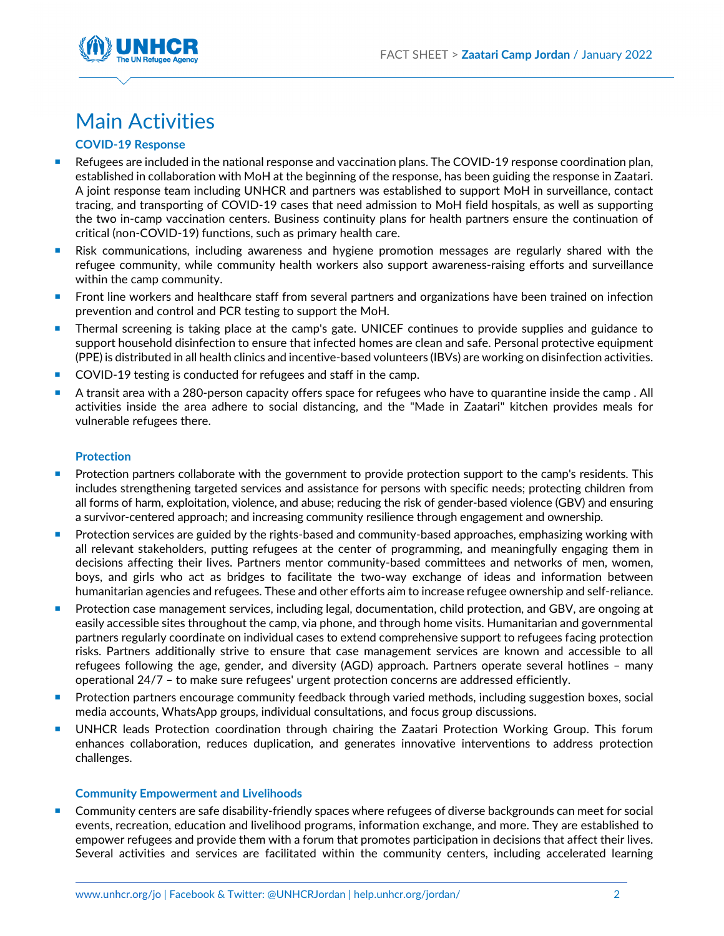

# Main Activities

# **COVID-19 Response**

- **Refugees are included in the national response and vaccination plans. The COVID-19 response coordination plan,** established in collaboration with MoH at the beginning of the response, has been guiding the response in Zaatari. A joint response team including UNHCR and partners was established to support MoH in surveillance, contact tracing, and transporting of COVID-19 cases that need admission to MoH field hospitals, as well as supporting the two in-camp vaccination centers. Business continuity plans for health partners ensure the continuation of critical (non-COVID-19) functions, such as primary health care.
- Risk communications, including awareness and hygiene promotion messages are regularly shared with the refugee community, while community health workers also support awareness-raising efforts and surveillance within the camp community.
- **Front line workers and healthcare staff from several partners and organizations have been trained on infection** prevention and control and PCR testing to support the MoH.
- **Thermal screening is taking place at the camp's gate. UNICEF continues to provide supplies and guidance to** support household disinfection to ensure that infected homes are clean and safe. Personal protective equipment (PPE) is distributed in all health clinics and incentive-based volunteers (IBVs) are working on disinfection activities.
- COVID-19 testing is conducted for refugees and staff in the camp.
- A transit area with a 280-person capacity offers space for refugees who have to quarantine inside the camp . All activities inside the area adhere to social distancing, and the "Made in Zaatari" kitchen provides meals for vulnerable refugees there.

#### **Protection**

- **Protection partners collaborate with the government to provide protection support to the camp's residents. This** includes strengthening targeted services and assistance for persons with specific needs; protecting children from all forms of harm, exploitation, violence, and abuse; reducing the risk of gender-based violence (GBV) and ensuring a survivor-centered approach; and increasing community resilience through engagement and ownership.
- **Protection services are guided by the rights-based and community-based approaches, emphasizing working with Protestion** all relevant stakeholders, putting refugees at the center of programming, and meaningfully engaging them in decisions affecting their lives. Partners mentor community-based committees and networks of men, women, boys, and girls who act as bridges to facilitate the two-way exchange of ideas and information between humanitarian agencies and refugees. These and other efforts aim to increase refugee ownership and self-reliance.
- **Protection case management services, including legal, documentation, child protection, and GBV, are ongoing at** easily accessible sites throughout the camp, via phone, and through home visits. Humanitarian and governmental partners regularly coordinate on individual cases to extend comprehensive support to refugees facing protection risks. Partners additionally strive to ensure that case management services are known and accessible to all refugees following the age, gender, and diversity (AGD) approach. Partners operate several hotlines – many operational 24/7 – to make sure refugees' urgent protection concerns are addressed efficiently.
- **Protection partners encourage community feedback through varied methods, including suggestion boxes, social interprotential methods** media accounts, WhatsApp groups, individual consultations, and focus group discussions.
- **UNHCR leads Protection coordination through chairing the Zaatari Protection Working Group. This forum** enhances collaboration, reduces duplication, and generates innovative interventions to address protection challenges.

## **Community Empowerment and Livelihoods**

**Community centers are safe disability-friendly spaces where refugees of diverse backgrounds can meet for social** events, recreation, education and livelihood programs, information exchange, and more. They are established to empower refugees and provide them with a forum that promotes participation in decisions that affect their lives. Several activities and services are facilitated within the community centers, including accelerated learning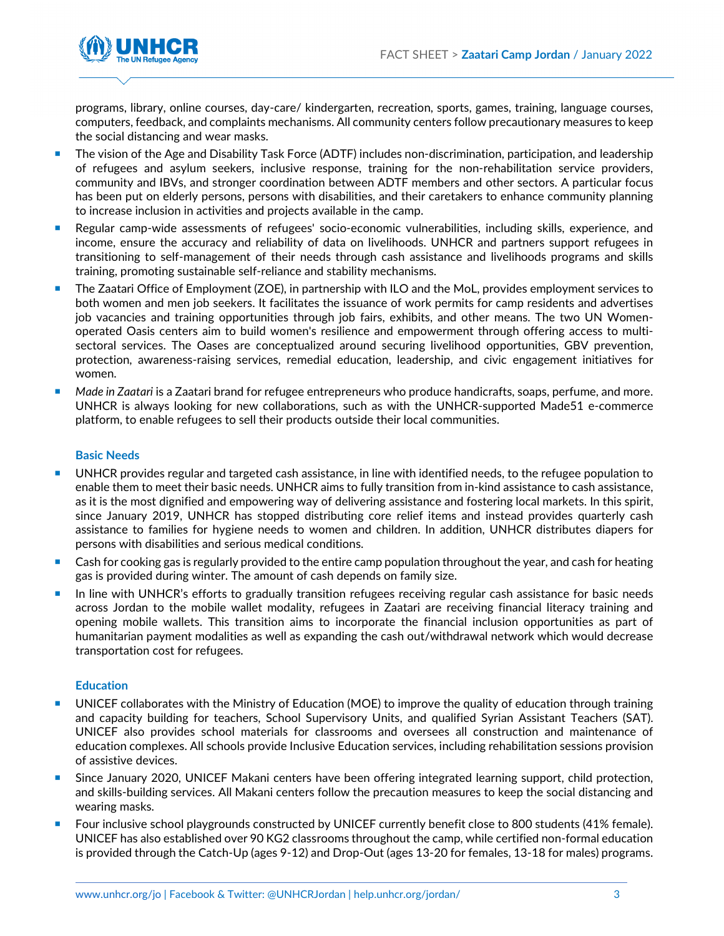

programs, library, online courses, day-care/ kindergarten, recreation, sports, games, training, language courses, computers, feedback, and complaints mechanisms. All community centers follow precautionary measures to keep the social distancing and wear masks.

- The vision of the Age and Disability Task Force (ADTF) includes non-discrimination, participation, and leadership of refugees and asylum seekers, inclusive response, training for the non-rehabilitation service providers, community and IBVs, and stronger coordination between ADTF members and other sectors. A particular focus has been put on elderly persons, persons with disabilities, and their caretakers to enhance community planning to increase inclusion in activities and projects available in the camp.
- **Regular camp-wide assessments of refugees' socio-economic vulnerabilities, including skills, experience, and in and in the system** income, ensure the accuracy and reliability of data on livelihoods. UNHCR and partners support refugees in transitioning to self-management of their needs through cash assistance and livelihoods programs and skills training, promoting sustainable self-reliance and stability mechanisms.
- The Zaatari Office of Employment (ZOE), in partnership with ILO and the MoL, provides employment services to both women and men job seekers. It facilitates the issuance of work permits for camp residents and advertises job vacancies and training opportunities through job fairs, exhibits, and other means. The two UN Womenoperated Oasis centers aim to build women's resilience and empowerment through offering access to multisectoral services. The Oases are conceptualized around securing livelihood opportunities, GBV prevention, protection, awareness-raising services, remedial education, leadership, and civic engagement initiatives for women.
- *Made in Zaatari* is a Zaatari brand for refugee entrepreneurs who produce handicrafts, soaps, perfume, and more. UNHCR is always looking for new collaborations, such as with the UNHCR-supported Made51 e-commerce platform, to enable refugees to sell their products outside their local communities.

## **Basic Needs**

- UNHCR provides regular and targeted cash assistance, in line with identified needs, to the refugee population to enable them to meet their basic needs. UNHCR aims to fully transition from in-kind assistance to cash assistance, as it is the most dignified and empowering way of delivering assistance and fostering local markets. In this spirit, since January 2019, UNHCR has stopped distributing core relief items and instead provides quarterly cash assistance to families for hygiene needs to women and children. In addition, UNHCR distributes diapers for persons with disabilities and serious medical conditions.
- Cash for cooking gas is regularly provided to the entire camp population throughout the year, and cash for heating gas is provided during winter. The amount of cash depends on family size.
- **In line with UNHCR's efforts to gradually transition refugees receiving regular cash assistance for basic needs** across Jordan to the mobile wallet modality, refugees in Zaatari are receiving financial literacy training and opening mobile wallets. This transition aims to incorporate the financial inclusion opportunities as part of humanitarian payment modalities as well as expanding the cash out/withdrawal network which would decrease transportation cost for refugees.

#### **Education**

- UNICEF collaborates with the Ministry of Education (MOE) to improve the quality of education through training and capacity building for teachers, School Supervisory Units, and qualified Syrian Assistant Teachers (SAT). UNICEF also provides school materials for classrooms and oversees all construction and maintenance of education complexes. All schools provide Inclusive Education services, including rehabilitation sessions provision of assistive devices.
- **Since January 2020, UNICEF Makani centers have been offering integrated learning support, child protection,** and skills-building services. All Makani centers follow the precaution measures to keep the social distancing and wearing masks.
- Four inclusive school playgrounds constructed by UNICEF currently benefit close to 800 students (41% female). UNICEF has also established over 90 KG2 classrooms throughout the camp, while certified non-formal education is provided through the Catch-Up (ages 9-12) and Drop-Out (ages 13-20 for females, 13-18 for males) programs.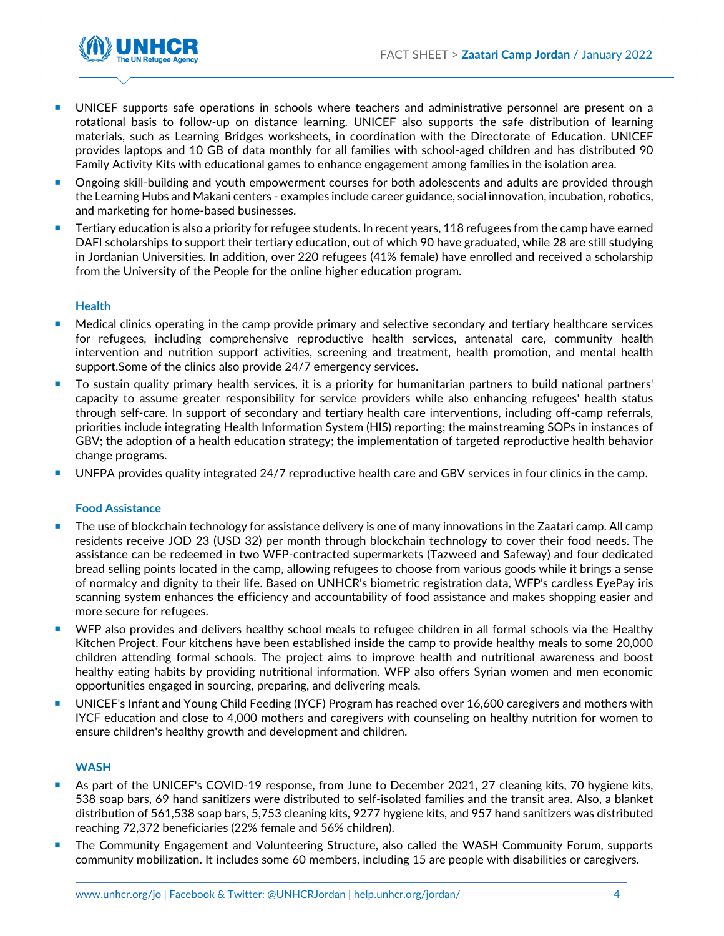

- UNICEF supports safe operations in schools where teachers and administrative personnel are present on a rotational basis to follow-up on distance learning. UNICEF also supports the safe distribution of learning materials, such as Learning Bridges worksheets, in coordination with the Directorate of Education. UNICEF provides laptops and 10 GB of data monthly for all families with school-aged children and has distributed 90 Family Activity Kits with educational games to enhance engagement among families in the isolation area.
- **Demogler 3** Ongoing skill-building and youth empowerment courses for both adolescents and adults are provided through the Learning Hubs and Makani centers - examples include career guidance, social innovation, incubation, robotics, and marketing for home-based businesses.
- **Tertiary education is also a priority for refugee students. In recent years, 118 refugees from the camp have earned** DAFI scholarships to support their tertiary education, out of which 90 have graduated, while 28 are still studying in Jordanian Universities. In addition, over 220 refugees (41% female) have enrolled and received a scholarship from the University of the People for the online higher education program.

## **Health**

- **Medical clinics operating in the camp provide primary and selective secondary and tertiary healthcare services** for refugees, including comprehensive reproductive health services, antenatal care, community health intervention and nutrition support activities, screening and treatment, health promotion, and mental health support.Some of the clinics also provide 24/7 emergency services.
- To sustain quality primary health services, it is a priority for humanitarian partners to build national partners' capacity to assume greater responsibility for service providers while also enhancing refugees' health status through self-care. In support of secondary and tertiary health care interventions, including off-camp referrals, priorities include integrating Health Information System (HIS) reporting; the mainstreaming SOPs in instances of GBV; the adoption of a health education strategy; the implementation of targeted reproductive health behavior change programs.
- UNFPA provides quality integrated 24/7 reproductive health care and GBV services in four clinics in the camp.

## **Food Assistance**

- The use of blockchain technology for assistance delivery is one of many innovations in the Zaatari camp. All camp residents receive JOD 23 (USD 32) per month through blockchain technology to cover their food needs. The assistance can be redeemed in two WFP-contracted supermarkets (Tazweed and Safeway) and four dedicated bread selling points located in the camp, allowing refugees to choose from various goods while it brings a sense of normalcy and dignity to their life. Based on UNHCR's biometric registration data, WFP's cardless EyePay iris scanning system enhances the efficiency and accountability of food assistance and makes shopping easier and more secure for refugees.
- **WFP** also provides and delivers healthy school meals to refugee children in all formal schools via the Healthy Kitchen Project. Four kitchens have been established inside the camp to provide healthy meals to some 20,000 children attending formal schools. The project aims to improve health and nutritional awareness and boost healthy eating habits by providing nutritional information. WFP also offers Syrian women and men economic opportunities engaged in sourcing, preparing, and delivering meals.
- UNICEF's Infant and Young Child Feeding (IYCF) Program has reached over 16,600 caregivers and mothers with IYCF education and close to 4,000 mothers and caregivers with counseling on healthy nutrition for women to ensure children's healthy growth and development and children.

## **WASH**

- As part of the UNICEF's COVID-19 response, from June to December 2021, 27 cleaning kits, 70 hygiene kits, 538 soap bars, 69 hand sanitizers were distributed to self-isolated families and the transit area. Also, a blanket distribution of 561,538 soap bars, 5,753 cleaning kits, 9277 hygiene kits, and 957 hand sanitizers was distributed reaching 72,372 beneficiaries (22% female and 56% children).
- The Community Engagement and Volunteering Structure, also called the WASH Community Forum, supports community mobilization. It includes some 60 members, including 15 are people with disabilities or caregivers.